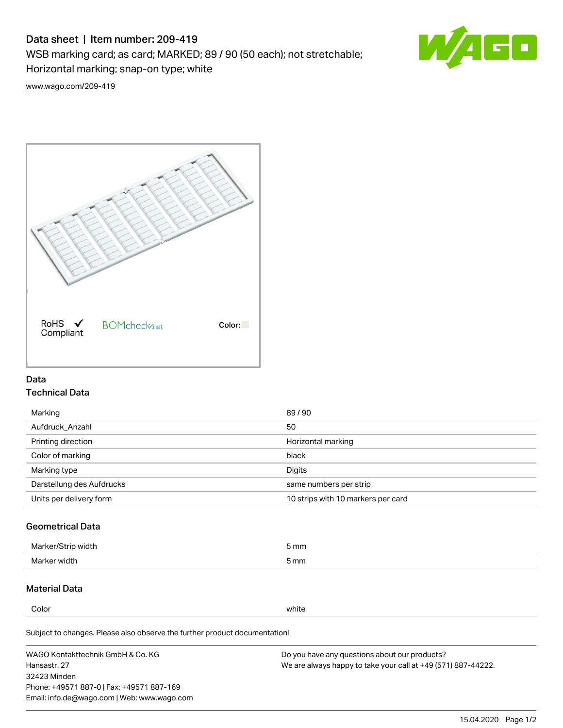# Data sheet | Item number: 209-419

WSB marking card; as card; MARKED; 89 / 90 (50 each); not stretchable;

Horizontal marking; snap-on type; white

60

[www.wago.com/209-419](http://www.wago.com/209-419)



### Data Technical Data

| Marking                   | 89/90                              |
|---------------------------|------------------------------------|
| Aufdruck Anzahl           | 50                                 |
| Printing direction        | Horizontal marking                 |
| Color of marking          | black                              |
| Marking type              | Digits                             |
| Darstellung des Aufdrucks | same numbers per strip             |
| Units per delivery form   | 10 strips with 10 markers per card |

## Geometrical Data

| width        | i mm |
|--------------|------|
| Marker/      | -    |
| Marker width | 5 mm |

## Material Data

Color white

Subject to changes. Please also observe the further product documentation!

WAGO Kontakttechnik GmbH & Co. KG Hansastr. 27 32423 Minden Phone: +49571 887-0 | Fax: +49571 887-169 Email: info.de@wago.com | Web: www.wago.com Do you have any questions about our products? We are always happy to take your call at +49 (571) 887-44222.